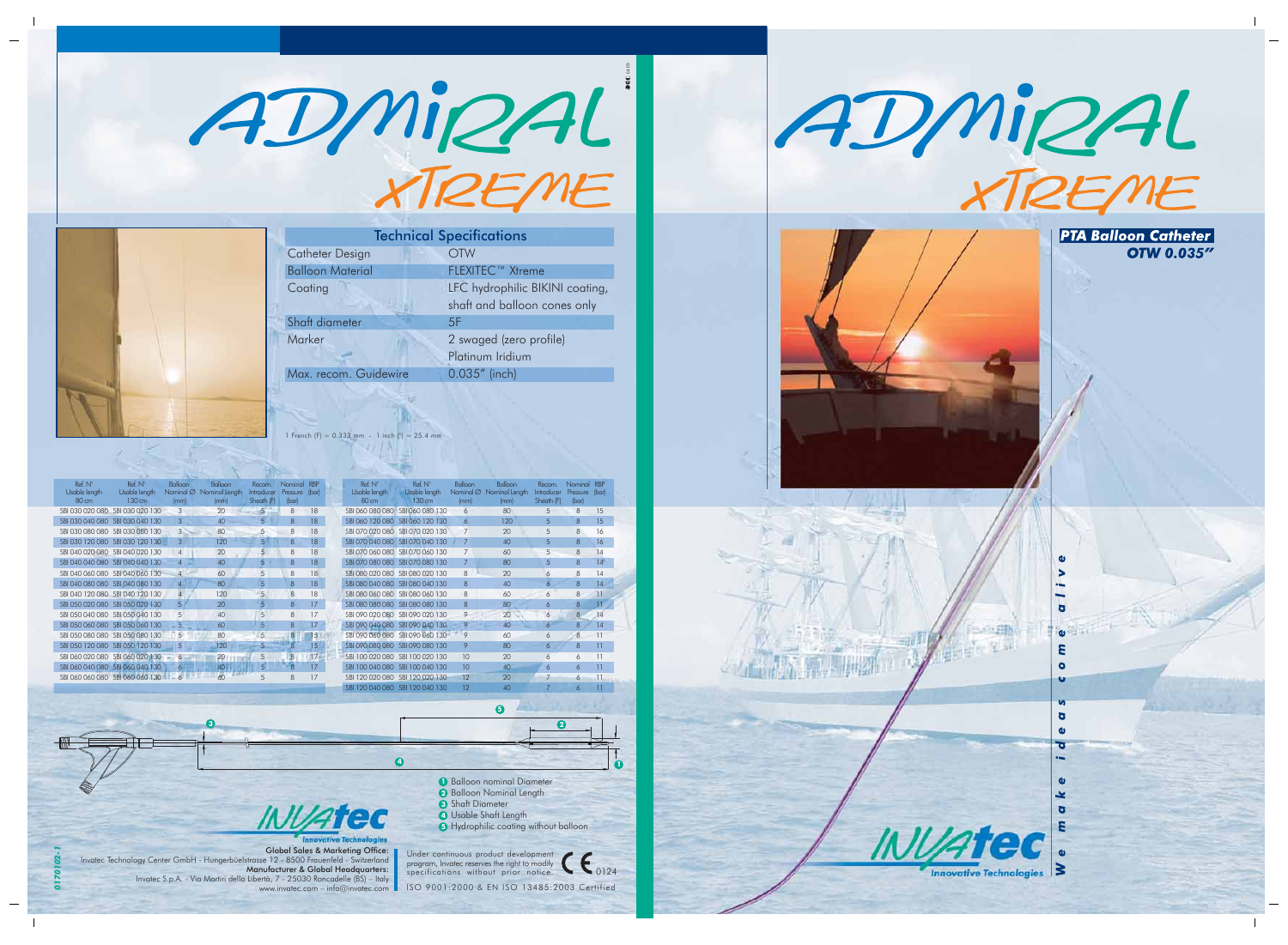



ISO 9001:2000 & EN ISO 13485:2003 Certified

| $Ref. N^\circ$<br>Usable length<br>80 cm | $Ref. N^\circ$<br>Usable length<br>$130 \text{ cm}$ | Balloon<br>Nominal $\varnothing$<br>(mm) | Balloon<br>Nominal Length<br>(mm) | Recom.<br>Introducer<br>Sheath (F) | Nominal<br>Pressure<br>(bar) | <b>RBP</b><br>(bar) |  |
|------------------------------------------|-----------------------------------------------------|------------------------------------------|-----------------------------------|------------------------------------|------------------------------|---------------------|--|
| SBI 060 080 080                          | SBI 060 080 130                                     | 6                                        | 80                                | 5                                  | 8                            | 15                  |  |
| SBI 060 120 080                          | SBI 060 120 130                                     | 6                                        | 120                               | 5                                  | 8                            | 15                  |  |
| SBI 070 020 080                          | SBI 070 020 130                                     | 7                                        | 20                                | 5                                  | 8                            | 16                  |  |
| SBI 070 040 080                          | SBI 070 040 130                                     | 7                                        | 40                                | 5                                  | 8                            | 16                  |  |
| SBI 070 060 080                          | SBI 070 060 130                                     | $\overline{7}$                           | 60                                | 5                                  | 8                            | 14                  |  |
| SBI 070 080 080                          | SBI 070 080 130                                     | 7                                        | 80                                | 5                                  | 8                            | 14                  |  |
| SBI 080 020 080                          | SBI 080 020 130                                     | 8                                        | 20                                | 6                                  | 8                            | 14                  |  |
| SBI 080 040 080                          | SBI 080 040 130                                     | $\mathsf{R}$                             | 40                                | 6                                  | 8                            | 14                  |  |
| SBI 080 060 080                          | SBI 080 060 130                                     | 8                                        | 60                                | 6                                  | 8                            | 11                  |  |
| SBI 080 080 080                          | SBI 080 080 130                                     | 8                                        | 80                                | 6                                  | 8                            | 11                  |  |
| SBI 090 020 080                          | SBI 090 020 130                                     | 9                                        | 20                                | 6                                  | 8                            | 14                  |  |
| SBI 090 040 080                          | SBI 090 040 130                                     | 9                                        | 40                                | 6                                  | 8                            | 14                  |  |
| SBI 090 060 080                          | SBI 090 060 130                                     | 9                                        | 60                                | 6                                  | 8                            | 11                  |  |
| SBI 090 080 080                          | SBI 090 080 130                                     | 9                                        | 80                                | 6                                  | 8                            | 11                  |  |
| SBI 100 020 080                          | SBI 100 020 130                                     | 10                                       | 20                                | 6                                  | 6                            | 11                  |  |
| SBI 100 040 080                          | SBI 100 040 130                                     | 10                                       | 40                                | 6                                  | 6                            | 11                  |  |
| SBI 120 020 080                          | SBI 120 020 130                                     | 12                                       | 20                                | 7                                  | 6                            | 11                  |  |
|                                          | SBI 120 040 080 SBI 120 040 130                     | 12                                       | 40                                |                                    | 6                            | 11                  |  |

| $Ref. N^\circ$<br>Usable length<br>80 cm | Ref. N°<br>Usable length<br>130 cm | Balloon<br>Nominal $\varnothing$<br>(mm) | Balloon<br>Nominal Length<br>(mm) | Recom.<br>Introducer<br>Sheath (F) | Nominal<br>Pressure<br>(bar) | <b>RBP</b><br>(bar) |
|------------------------------------------|------------------------------------|------------------------------------------|-----------------------------------|------------------------------------|------------------------------|---------------------|
| SBI 030 020 080                          | SBI 030 020 130                    | 3                                        | 20                                | 5                                  | 8                            | 18                  |
| SBI 030 040 080                          | SBI 030 040 130                    | 3                                        | 40                                | 5                                  | $\mathsf{R}$                 | 18                  |
| SBI 030 080 080                          | SBI 030 080 130                    | 3                                        | 80                                | 5                                  | 8                            | 18                  |
| SBI 030 120 080                          | SBI 030 120 130                    | 3                                        | 120                               | 5                                  | $\mathsf{R}$                 | 18                  |
| SBI 040 020 080                          | SBI 040 020 130                    | $\overline{4}$                           | 20                                | 5                                  | 8                            | 18                  |
| SBI 040 040 080                          | SBI 040 040 130                    | $\overline{4}$                           | 40                                | 5                                  | 8                            | 18                  |
| SBI 040 060 080                          | SBI 040 060 130                    | $\overline{4}$                           | 60                                | 5                                  | 8                            | 18                  |
| SBI 040 080 080                          | SBI 040 080 130                    | 4                                        | 80                                | 5                                  | $\mathsf{R}$                 | 18                  |
| SBI 040 120 080                          | SBI 040 120 130                    | $\overline{4}$                           | 120                               | 5                                  | 8                            | 18                  |
| SBI 050 020 080                          | SBI 050 020 130                    | 5                                        | 20                                | 5                                  | $\mathsf{R}$                 | 17                  |
| SBI 050 040 080                          | SBI 050 040 130                    | 5                                        | 40                                | 5                                  | 8                            | 17                  |
| SBI 050 060 080                          | SBI 050 060 130                    | 5                                        | 60                                | 5                                  | 8                            | 17                  |
| SBI 050 080 080                          | SBI 050 080 130                    | 5                                        | 80                                | 5                                  | 8                            | 15                  |
| SBI 050 120 080                          | SBI 050 120 130                    | 5                                        | 120                               | 5                                  | 8                            | 15                  |
| SBI 060 020 080                          | SBI 060 020 130                    | 6                                        | 20                                | 5                                  | $\overline{8}$               | 17                  |
| SBI 060 040 080                          | SBI 060 040 130                    | 6                                        | 40                                | 5                                  | 8                            | 17                  |
| SBI 060 060 080                          | SBI 060 060 130                    |                                          | 60                                | 5                                  | 8                            | 17                  |

**1**





| <b>Technical Specifications</b> |                                 |  |  |  |  |  |  |  |
|---------------------------------|---------------------------------|--|--|--|--|--|--|--|
| Catheter Design                 | <b>OTW</b>                      |  |  |  |  |  |  |  |
| <b>Balloon Material</b>         | <b>FLEXITEC™ Xtreme</b>         |  |  |  |  |  |  |  |
| Coating                         | LFC hydrophilic BIKINI coating, |  |  |  |  |  |  |  |
|                                 | shaft and balloon cones only    |  |  |  |  |  |  |  |
| Shaft diameter                  | 5F                              |  |  |  |  |  |  |  |
| Marker                          | 2 swaged (zero profile)         |  |  |  |  |  |  |  |
|                                 | Platinum Iridium                |  |  |  |  |  |  |  |
| Max. recom. Guidewire           | 0.035" (inch)                   |  |  |  |  |  |  |  |
|                                 |                                 |  |  |  |  |  |  |  |

1 French (F) =  $0.333$  mm - 1 inch (") =  $25.4$  mm



www.invatec.com – info@invatec.com